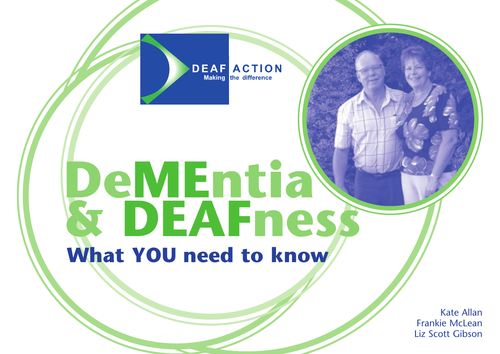#### **DEAF ACTION Making** the difference

# **DeMEntia & DEAFness What YOU need to know**

Kate Allan Frankie McLean Liz Scott Gibson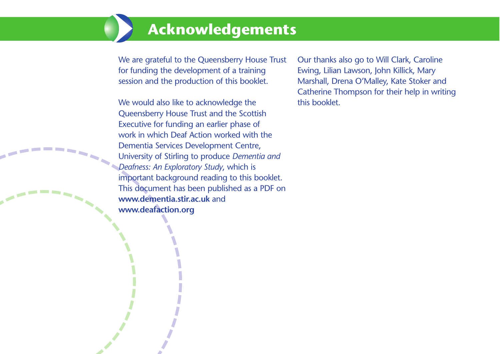# **Acknowledgements**

We are grateful to the Queensberry House Trust for funding the development of a training session and the production of this booklet.

We would also like to acknowledge the Queensberry House Trust and the Scottish Executive for funding an earlier phase of work in which Deaf Action worked with the Dementia Services Development Centre, University of Stirling to produce *Dementia and Deafness: An Exploratory Study*, which is important background reading to this booklet. This document has been published as a PDF on **www.dementia.stir.ac.uk** and **www.deafaction.org** 

Our thanks also go to Will Clark, Caroline Ewing, Lilian Lawson, John Killick, Mary Marshall, Drena O'Malley, Kate Stoker and Catherine Thompson for their help in writing this booklet.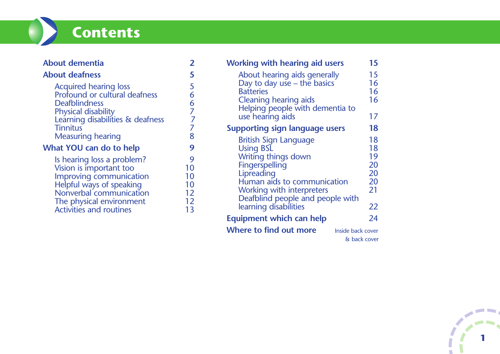# **Contents**

| About dementia                                                                                                                                                             |  |
|----------------------------------------------------------------------------------------------------------------------------------------------------------------------------|--|
| <b>About deafness</b>                                                                                                                                                      |  |
| <b>Acquired hearing loss</b><br><b>Profound or cultural deafness</b><br><b>Deafblindness</b><br>Physical disability<br>Learning disabilities & deafness<br><b>Tinnitus</b> |  |
| <b>Measuring hearing</b>                                                                                                                                                   |  |
| $M/L \sim L MOM$                                                                                                                                                           |  |

#### **What YOU can do to help** 9

| Is hearing loss a problem?                          | Q  |
|-----------------------------------------------------|----|
| Vision is important too                             | 10 |
| Improving communication                             | 10 |
| Helpful ways of speaking                            | 10 |
| Nonverbal communication                             | 12 |
|                                                     | 12 |
| The physical environment<br>Activities and routines | 13 |

| <b>Working with hearing aid users</b><br>About hearing aids generally<br>Day to day use – the basics<br><b>Batteries</b><br><b>Cleaning hearing aids</b>                                                                  | 15<br>15<br>16<br>16<br>16                   |
|---------------------------------------------------------------------------------------------------------------------------------------------------------------------------------------------------------------------------|----------------------------------------------|
| Helping people with dementia to<br>use hearing aids                                                                                                                                                                       | 17                                           |
| <b>Supporting sign language users</b>                                                                                                                                                                                     | 18                                           |
| British Sign Language<br><b>Using BSL</b><br>Writing things down<br>Fingerspelling<br>Lipreading<br>Human aids to communication<br>Working with interpreters<br>Deafblind people and people with<br>learning disabilities | 18<br>18<br>19<br>20<br>20<br>20<br>21<br>22 |
| <b>Equipment which can help</b>                                                                                                                                                                                           | 24                                           |
| Where to find out more<br>Inside back cover<br>& back cover                                                                                                                                                               |                                              |

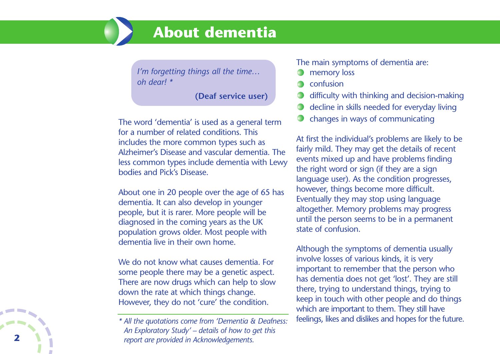# **About dementia**

*I'm forgetting things all the time… oh dear! \**

**(Deaf service user)**

The word 'dementia' is used as a general term for a number of related conditions. This includes the more common types such as Alzheimer's Disease and vascular dementia. The less common types include dementia with Lewy bodies and Pick's Disease.

About one in 20 people over the age of 65 has dementia. It can also develop in younger people, but it is rarer. More people will be diagnosed in the coming years as the UK population grows older. Most people with dementia live in their own home.

We do not know what causes dementia. For some people there may be a genetic aspect. There are now drugs which can help to slow down the rate at which things change. However, they do not 'cure' the condition.

#### The main symptoms of dementia are:

- memory loss
- confusion
- difficulty with thinking and decision-making
- decline in skills needed for everyday living
- changes in ways of communicating

At first the individual's problems are likely to be fairly mild. They may get the details of recent events mixed up and have problems finding the right word or sign (if they are a sign language user). As the condition progresses, however, things become more difficult. Eventually they may stop using language altogether. Memory problems may progress until the person seems to be in a permanent state of confusion.

Although the symptoms of dementia usually involve losses of various kinds, it is very important to remember that the person who has dementia does not get 'lost'. They are still there, trying to understand things, trying to keep in touch with other people and do things which are important to them. They still have feelings, likes and dislikes and hopes for the future.

*<sup>\*</sup> All the quotations come from 'Dementia & Deafness: An Exploratory Study' – details of how to get this report are provided in Acknowledgements.*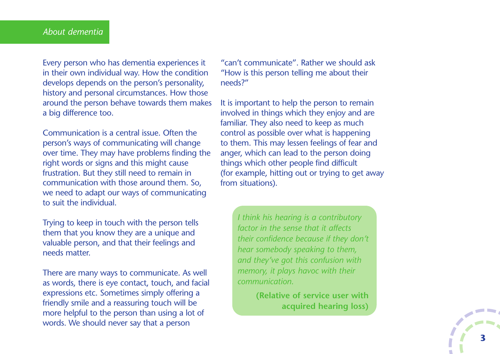Every person who has dementia experiences it in their own individual way. How the condition develops depends on the person's personality, history and personal circumstances. How those around the person behave towards them makes a big difference too.

Communication is a central issue. Often the person's ways of communicating will change over time. They may have problems finding the right words or signs and this might cause frustration. But they still need to remain in communication with those around them. So, we need to adapt our ways of communicating to suit the individual.

Trying to keep in touch with the person tells them that you know they are a unique and valuable person, and that their feelings and needs matter.

There are many ways to communicate. As well as words, there is eye contact, touch, and facial expressions etc. Sometimes simply offering a friendly smile and a reassuring touch will be more helpful to the person than using a lot of words. We should never say that a person

"can't communicate". Rather we should ask "How is this person telling me about their needs?"

It is important to help the person to remain involved in things which they enjoy and are familiar. They also need to keep as much control as possible over what is happening to them. This may lessen feelings of fear and anger, which can lead to the person doing things which other people find difficult (for example, hitting out or trying to get away from situations).

> *I think his hearing is a contributory factor in the sense that it affects their confidence because if they don't hear somebody speaking to them, and they've got this confusion with memory, it plays havoc with their communication.*

> > **(Relative of service user with acquired hearing loss)**

 $\overline{\phantom{a}}$ 

 $\begin{array}{c} \begin{array}{c} \begin{array}{c} \end{array} \\ \begin{array}{c} \end{array} \end{array} \end{array}$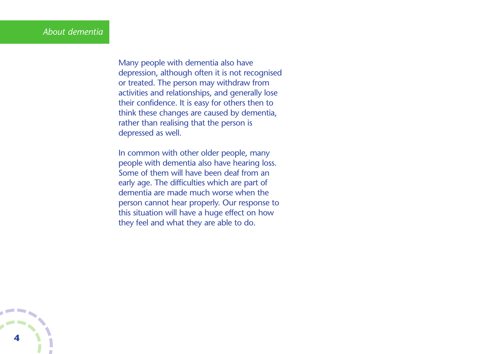Many people with dementia also have depression, although often it is not recognised or treated. The person may withdraw from activities and relationships, and generally lose their confidence. It is easy for others then to think these changes are caused by dementia, rather than realising that the person is depressed as well.

In common with other older people, many people with dementia also have hearing loss. Some of them will have been deaf from an early age. The difficulties which are part of dementia are made much worse when the person cannot hear properly. Our response to this situation will have a huge effect on how they feel and what they are able to do.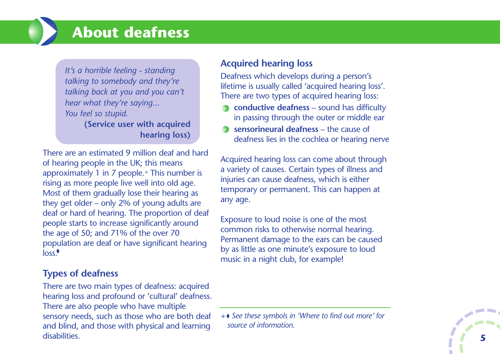# **About deafness**

*It's a horrible feeling - standing talking to somebody and they're talking back at you and you can't hear what they're saying... You feel so stupid.* **(Service user with acquired**

**hearing loss)**

There are an estimated 9 million deaf and hard of hearing people in the UK; this means approximately 1 in 7 people. *<sup>+</sup>* This number is rising as more people live well into old age. Most of them gradually lose their hearing as they get older – only 2% of young adults are deaf or hard of hearing. The proportion of deaf people starts to increase significantly around the age of 50; and 71% of the over 70 population are deaf or have significant hearing loss.

# **Types of deafness**

There are two main types of deafness: acquired hearing loss and profound or 'cultural' deafness. There are also people who have multiple sensory needs, such as those who are both deaf and blind, and those with physical and learning disabilities.

# **Acquired hearing loss**

Deafness which develops during a person's lifetime is usually called 'acquired hearing loss'. There are two types of acquired hearing loss:

- **conductive deafness** sound has difficulty in passing through the outer or middle ear
- **sensorineural deafness** the cause of deafness lies in the cochlea or hearing nerve

Acquired hearing loss can come about through a variety of causes. Certain types of illness and injuries can cause deafness, which is either temporary or permanent. This can happen at any age.

Exposure to loud noise is one of the most common risks to otherwise normal hearing. Permanent damage to the ears can be caused by as little as one minute's exposure to loud music in a night club, for example!

*+ See these symbols in 'Where to find out more' for source of information.*

 $\overline{\phantom{a}}$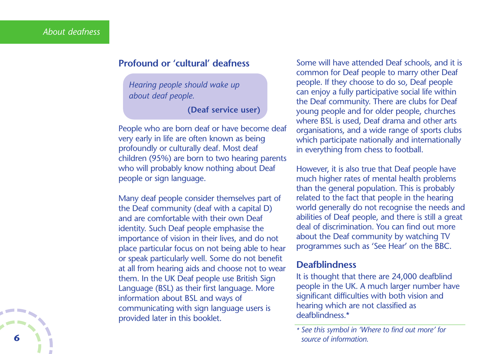#### **Profound or 'cultural' deafness**

*Hearing people should wake up about deaf people.*

**(Deaf service user)**

People who are born deaf or have become deaf very early in life are often known as being profoundly or culturally deaf. Most deaf children (95%) are born to two hearing parents who will probably know nothing about Deaf people or sign language.

Many deaf people consider themselves part of the Deaf community (deaf with a capital D) and are comfortable with their own Deaf identity. Such Deaf people emphasise the importance of vision in their lives, and do not place particular focus on not being able to hear or speak particularly well. Some do not benefit at all from hearing aids and choose not to wear them. In the UK Deaf people use British Sign Language (BSL) as their first language. More information about BSL and ways of communicating with sign language users is provided later in this booklet.

Some will have attended Deaf schools, and it is common for Deaf people to marry other Deaf people. If they choose to do so, Deaf people can enjoy a fully participative social life within the Deaf community. There are clubs for Deaf young people and for older people, churches where BSL is used, Deaf drama and other arts organisations, and a wide range of sports clubs which participate nationally and internationally in everything from chess to football.

However, it is also true that Deaf people have much higher rates of mental health problems than the general population. This is probably related to the fact that people in the hearing world generally do not recognise the needs and abilities of Deaf people, and there is still a great deal of discrimination. You can find out more about the Deaf community by watching TV programmes such as 'See Hear' on the BBC.

#### **Deafblindness**

It is thought that there are 24,000 deafblind people in the UK. A much larger number have significant difficulties with both vision and hearing which are not classified as deafblindness.\*

*<sup>\*</sup> See this symbol in 'Where to find out more' for* **6** *source of information.*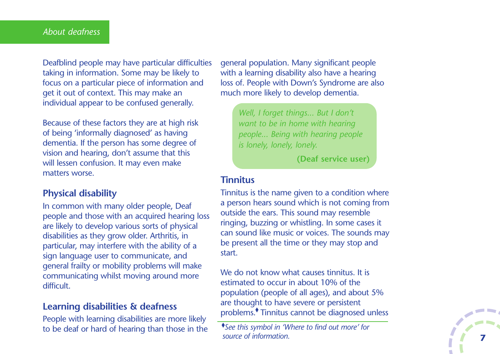Deafblind people may have particular difficulties taking in information. Some may be likely to focus on a particular piece of information and get it out of context. This may make an individual appear to be confused generally.

Because of these factors they are at high risk of being 'informally diagnosed' as having dementia. If the person has some degree of vision and hearing, don't assume that this will lessen confusion. It may even make matters worse.

# **Physical disability**

In common with many older people, Deaf people and those with an acquired hearing loss are likely to develop various sorts of physical disabilities as they grow older. Arthritis, in particular, may interfere with the ability of a sign language user to communicate, and general frailty or mobility problems will make communicating whilst moving around more difficult.

#### **Learning disabilities & deafness**

People with learning disabilities are more likely to be deaf or hard of hearing than those in the general population. Many significant people with a learning disability also have a hearing loss of. People with Down's Syndrome are also much more likely to develop dementia.

*Well, I forget things... But I don't want to be in home with hearing people... Being with hearing people is lonely, lonely, lonely.*

**(Deaf service user)**

#### **Tinnitus**

Tinnitus is the name given to a condition where a person hears sound which is not coming from outside the ears. This sound may resemble ringing, buzzing or whistling. In some cases it can sound like music or voices. The sounds may be present all the time or they may stop and start.

We do not know what causes tinnitus. It is estimated to occur in about 10% of the population (people of all ages), and about 5% are thought to have severe or persistent problems.<sup>•</sup> Tinnitus cannot be diagnosed unless

 $\overline{\phantom{a}}$ **7**

*See this symbol in 'Where to find out more' for source of information.*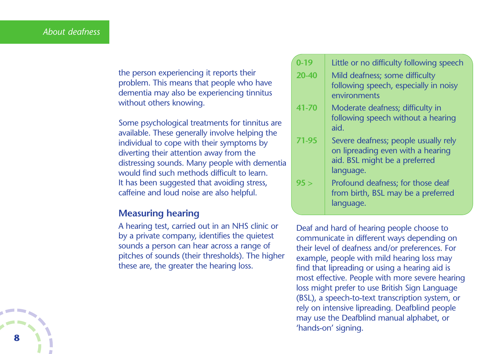the person experiencing it reports their problem. This means that people who have dementia may also be experiencing tinnitus without others knowing.

Some psychological treatments for tinnitus are available. These generally involve helping the individual to cope with their symptoms by diverting their attention away from the distressing sounds. Many people with dementia would find such methods difficult to learn. It has been suggested that avoiding stress, caffeine and loud noise are also helpful.

#### **Measuring hearing**

A hearing test, carried out in an NHS clinic or by a private company, identifies the quietest sounds a person can hear across a range of pitches of sounds (their thresholds). The higher these are, the greater the hearing loss.

- **0-19** Little or no difficulty following speech
- 20-40 | Mild deafness; some difficulty following speech, especially in noisy environments
- **41-70** Moderate deafness; difficulty in following speech without a hearing aid.
- **71-95** Severe deafness; people usually rely on lipreading even with a hearing aid. BSL might be a preferred language.
- **95 >** Profound deafness; for those deaf from birth, BSL may be a preferred language.

Deaf and hard of hearing people choose to communicate in different ways depending on their level of deafness and/or preferences. For example, people with mild hearing loss may find that lipreading or using a hearing aid is most effective. People with more severe hearing loss might prefer to use British Sign Language (BSL), a speech-to-text transcription system, or rely on intensive lipreading. Deafblind people may use the Deafblind manual alphabet, or 'hands-on' signing.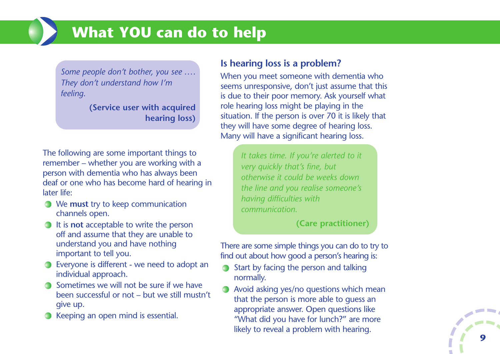# **What YOU can do to help**

*Some people don't bother, you see . . . . They don't understand how I'm feeling.*

> **(Service user with acquired hearing loss)**

The following are some important things to remember – whether you are working with a person with dementia who has always been deaf or one who has become hard of hearing in later life:

- We **must** try to keep communication channels open.
- It is **not** acceptable to write the person off and assume that they are unable to understand you and have nothing important to tell you.
- Everyone is different we need to adopt an individual approach.
- **Sometimes we will not be sure if we have** been successful or not – but we still mustn't give up.
- **Keeping an open mind is essential.**

# **Is hearing loss is a problem?**

When you meet someone with dementia who seems unresponsive, don't just assume that this is due to their poor memory. Ask yourself what role hearing loss might be playing in the situation. If the person is over 70 it is likely that they will have some degree of hearing loss. Many will have a significant hearing loss.

> *It takes time. If you're alerted to it very quickly that's fine, but otherwise it could be weeks down the line and you realise someone's having difficulties with communication.*

> > **(Care practitioner)**

There are some simple things you can do to try to find out about how good a person's hearing is:

- Start by facing the person and talking normally.
- Avoid asking yes/no questions which mean that the person is more able to guess an appropriate answer. Open questions like "What did you have for lunch?" are more likely to reveal a problem with hearing.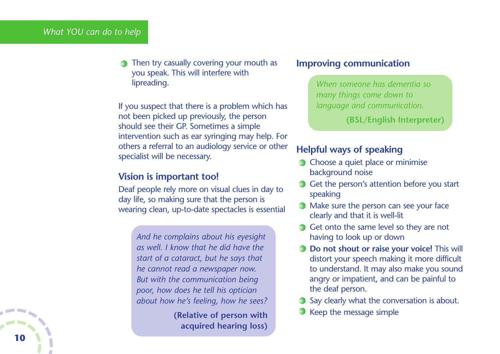Then try casually covering your mouth as you speak. This will interfere with lipreading.

If you suspect that there is a problem which has not been picked up previously, the person should see their GP. Sometimes a simple intervention such as ear syringing may help. For others a referral to an audiology service or other specialist will be necessary.

#### **Vision is important too!**

Deaf people rely more on visual clues in day to day life, so making sure that the person is wearing clean, up-to-date spectacles is essential

> *And he complains about his eyesight as well. I know that he did have the start of a cataract, but he says that he cannot read a newspaper now. But with the communication being poor, how does he tell his optician about how he's feeling, how he sees?*

> > **(Relative of person with acquired hearing loss)**

#### **Improving communication**

*When someone has dementia so many things come down to language and communication.* 

**(BSL/English Interpreter)**

#### **Helpful ways of speaking**

- Choose a quiet place or minimise background noise
- Get the person's attention before you start speaking
- Make sure the person can see your face clearly and that it is well-lit
- Get onto the same level so they are not having to look up or down
- **Do not shout or raise your voice!** This will distort your speech making it more difficult to understand. It may also make you sound angry or impatient, and can be painful to the deaf person.
- Say clearly what the conversation is about.
- Keep the message simple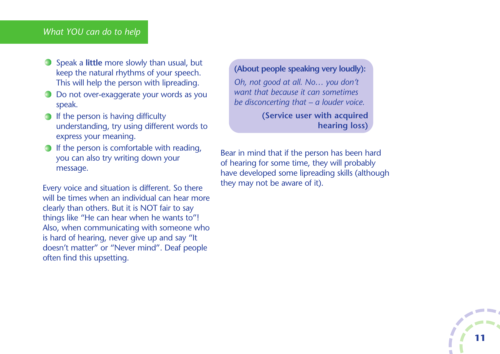#### *What YOU can do to help*

- Speak a **little** more slowly than usual, but keep the natural rhythms of your speech. This will help the person with lipreading.
- Do not over-exaggerate your words as you speak.
- $\bigcirc$  If the person is having difficulty understanding, try using different words to express your meaning.
- $\bigcirc$  If the person is comfortable with reading, you can also try writing down your message.

Every voice and situation is different. So there will be times when an individual can hear more clearly than others. But it is NOT fair to say things like "He can hear when he wants to"! Also, when communicating with someone who is hard of hearing, never give up and say "It doesn't matter" or "Never mind". Deaf people often find this upsetting.

#### **(About people speaking very loudly):**

*Oh, not good at all. No… you don't want that because it can sometimes be disconcerting that – a louder voice.*

> **(Service user with acquired hearing loss)**

Bear in mind that if the person has been hard of hearing for some time, they will probably have developed some lipreading skills (although they may not be aware of it).

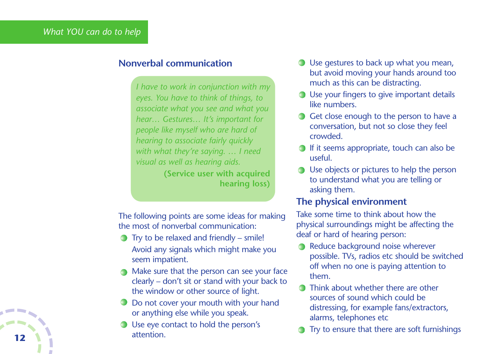### **Nonverbal communication**

*I have to work in conjunction with my eyes. You have to think of things, to associate what you see and what you hear… Gestures… It's important for people like myself who are hard of hearing to associate fairly quickly with what they're saying. … I need visual as well as hearing aids.*

**(Service user with acquired hearing loss)**

The following points are some ideas for making the most of nonverbal communication:

- $\bullet$  Try to be relaxed and friendly smile! Avoid any signals which might make you seem impatient.
- Make sure that the person can see your face clearly – don't sit or stand with your back to the window or other source of light.
- Do not cover your mouth with your hand or anything else while you speak.
- Use eye contact to hold the person's attention.
- Use gestures to back up what you mean, but avoid moving your hands around too much as this can be distracting.
- Use your fingers to give important details like numbers.
- Get close enough to the person to have a conversation, but not so close they feel crowded.
- $\bigcirc$  If it seems appropriate, touch can also be useful.
- **◯** Use objects or pictures to help the person to understand what you are telling or asking them.

#### **The physical environment**

Take some time to think about how the physical surroundings might be affecting the deaf or hard of hearing person:

- Reduce background noise wherever possible. TVs, radios etc should be switched off when no one is paying attention to them.
- Think about whether there are other sources of sound which could be distressing, for example fans/extractors, alarms, telephones etc
- Try to ensure that there are soft furnishings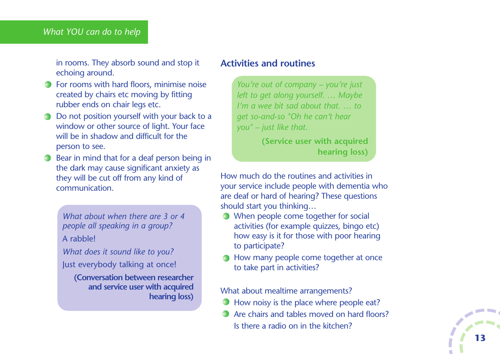#### *What YOU can do to help*

in rooms. They absorb sound and stop it echoing around.

- **•** For rooms with hard floors, minimise noise created by chairs etc moving by fitting rubber ends on chair legs etc.
- Do not position yourself with your back to a window or other source of light. Your face will be in shadow and difficult for the person to see.
- **Bear in mind that for a deaf person being in** the dark may cause significant anxiety as they will be cut off from any kind of communication.

*What about when there are 3 or 4 people all speaking in a group?* A rabble!

*What does it sound like to you?* Just everybody talking at once!

**(Conversation between researcher and service user with acquired hearing loss)**

#### **Activities and routines**

*You're out of company – you're just left to get along yourself. … Maybe I'm a wee bit sad about that. … to get so-and-so "Oh he can't hear you" – just like that.*

> **(Service user with acquired hearing loss)**

How much do the routines and activities in your service include people with dementia who are deaf or hard of hearing? These questions should start you thinking…

- When people come together for social activities (for example quizzes, bingo etc) how easy is it for those with poor hearing to participate?
- How many people come together at once to take part in activities?

What about mealtime arrangements?

- How noisy is the place where people eat?  $\blacksquare$
- Are chairs and tables moved on hard floors? Is there a radio on in the kitchen?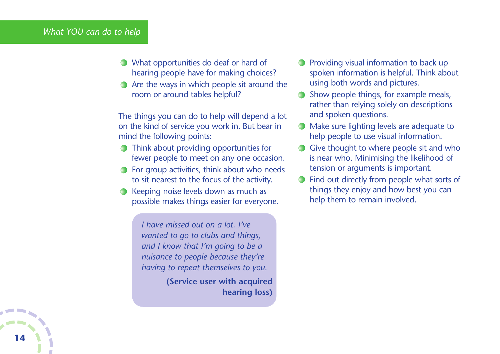#### *What YOU can do to help*

- What opportunities do deaf or hard of hearing people have for making choices?
- Are the ways in which people sit around the room or around tables helpful?

The things you can do to help will depend a lot on the kind of service you work in. But bear in mind the following points:

- Think about providing opportunities for fewer people to meet on any one occasion.
- **For group activities, think about who needs** to sit nearest to the focus of the activity.
- Keeping noise levels down as much as possible makes things easier for everyone.

*I have missed out on a lot. I've wanted to go to clubs and things, and I know that I'm going to be a nuisance to people because they're having to repeat themselves to you.*

> **(Service user with acquired hearing loss)**

- **Providing visual information to back up** spoken information is helpful. Think about using both words and pictures.
- Show people things, for example meals, rather than relying solely on descriptions and spoken questions.
- Make sure lighting levels are adequate to help people to use visual information.
- Give thought to where people sit and who is near who. Minimising the likelihood of tension or arguments is important.
- Find out directly from people what sorts of things they enjoy and how best you can help them to remain involved.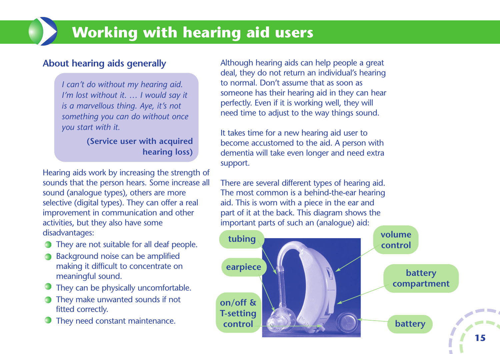# **Working with hearing aid users**

# **About hearing aids generally**

*I can't do without my hearing aid. I'm lost without it. … I would say it is a marvellous thing. Aye, it's not something you can do without once you start with it.*

> **(Service user with acquired hearing loss)**

Hearing aids work by increasing the strength of sounds that the person hears. Some increase all sound (analogue types), others are more selective (digital types). They can offer a real improvement in communication and other activities, but they also have some disadvantages:

- They are not suitable for all deaf people.
- **Background noise can be amplified** making it difficult to concentrate on meaningful sound.
- They can be physically uncomfortable.
- They make unwanted sounds if not fitted correctly.
- They need constant maintenance.

Although hearing aids can help people a great deal, they do not return an individual's hearing to normal. Don't assume that as soon as someone has their hearing aid in they can hear perfectly. Even if it is working well, they will need time to adjust to the way things sound.

It takes time for a new hearing aid user to become accustomed to the aid. A person with dementia will take even longer and need extra support.

There are several different types of hearing aid. The most common is a behind-the-ear hearing aid. This is worn with a piece in the ear and part of it at the back. This diagram shows the important parts of such an (analogue) aid:

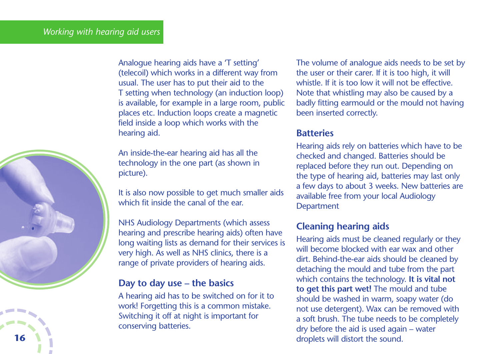Analogue hearing aids have a 'T setting' (telecoil) which works in a different way from usual. The user has to put their aid to the T setting when technology (an induction loop) is available, for example in a large room, public places etc. Induction loops create a magnetic field inside a loop which works with the hearing aid.

An inside-the-ear hearing aid has all the technology in the one part (as shown in picture).

It is also now possible to get much smaller aids which fit inside the canal of the ear.

NHS Audiology Departments (which assess hearing and prescribe hearing aids) often have long waiting lists as demand for their services is very high. As well as NHS clinics, there is a range of private providers of hearing aids.

### **Day to day use – the basics**

A hearing aid has to be switched on for it to work! Forgetting this is a common mistake. Switching it off at night is important for conserving batteries.

The volume of analogue aids needs to be set by the user or their carer. If it is too high, it will whistle. If it is too low it will not be effective. Note that whistling may also be caused by a badly fitting earmould or the mould not having been inserted correctly.

#### **Batteries**

Hearing aids rely on batteries which have to be checked and changed. Batteries should be replaced before they run out. Depending on the type of hearing aid, batteries may last only a few days to about 3 weeks. New batteries are available free from your local Audiology **Department** 

# **Cleaning hearing aids**

Hearing aids must be cleaned regularly or they will become blocked with ear wax and other dirt. Behind-the-ear aids should be cleaned by detaching the mould and tube from the part which contains the technology. **It is vital not to get this part wet!** The mould and tube should be washed in warm, soapy water (do not use detergent). Wax can be removed with a soft brush. The tube needs to be completely dry before the aid is used again – water **16 droplets will distort the sound.** 

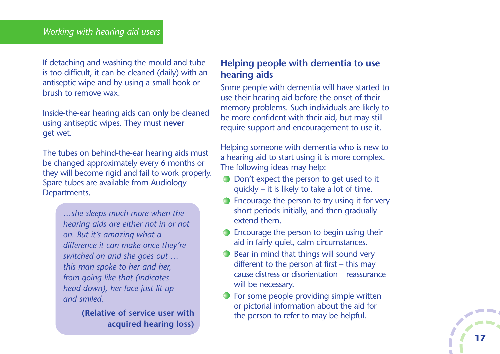If detaching and washing the mould and tube is too difficult, it can be cleaned (daily) with an antiseptic wipe and by using a small hook or brush to remove wax.

Inside-the-ear hearing aids can **only** be cleaned using antiseptic wipes. They must **never** get wet.

The tubes on behind-the-ear hearing aids must be changed approximately every 6 months or they will become rigid and fail to work properly. Spare tubes are available from Audiology Departments.

> *…she sleeps much more when the hearing aids are either not in or not on. But it's amazing what a difference it can make once they're switched on and she goes out … this man spoke to her and her, from going like that (indicates head down), her face just lit up and smiled.*

> > **(Relative of service user with acquired hearing loss)**

# **Helping people with dementia to use hearing aids**

Some people with dementia will have started to use their hearing aid before the onset of their memory problems. Such individuals are likely to be more confident with their aid, but may still require support and encouragement to use it.

Helping someone with dementia who is new to a hearing aid to start using it is more complex. The following ideas may help:

- Don't expect the person to get used to it quickly – it is likely to take a lot of time.
- **Encourage the person to try using it for very** short periods initially, and then gradually extend them.
- **Encourage the person to begin using their** aid in fairly quiet, calm circumstances.
- **Bear in mind that things will sound very** different to the person at first – this may cause distress or disorientation – reassurance will be necessary.
- For some people providing simple written or pictorial information about the aid for the person to refer to may be helpful.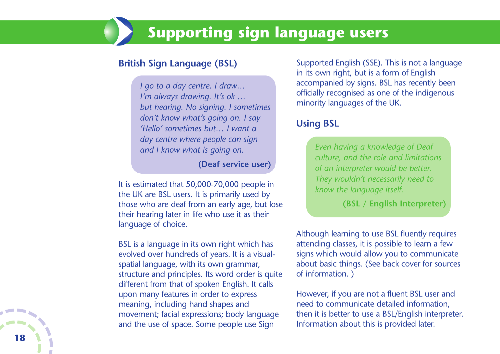# **Supporting sign language users**

### **British Sign Language (BSL)**

*I go to a day centre. I draw… I'm always drawing. It's ok … but hearing. No signing. I sometimes don't know what's going on. I say 'Hello' sometimes but… I want a day centre where people can sign and I know what is going on.*

#### **(Deaf service user)**

It is estimated that 50,000-70,000 people in the UK are BSL users. It is primarily used by those who are deaf from an early age, but lose their hearing later in life who use it as their language of choice.

BSL is a language in its own right which has evolved over hundreds of years. It is a visualspatial language, with its own grammar, structure and principles. Its word order is quite different from that of spoken English. It calls upon many features in order to express meaning, including hand shapes and movement; facial expressions; body language and the use of space. Some people use Sign

Supported English (SSE). This is not a language in its own right, but is a form of English accompanied by signs. BSL has recently been officially recognised as one of the indigenous minority languages of the UK.

#### **Using BSL**

*Even having a knowledge of Deaf culture, and the role and limitations of an interpreter would be better. They wouldn't necessarily need to know the language itself.*

**(BSL / English Interpreter)**

Although learning to use BSL fluently requires attending classes, it is possible to learn a few signs which would allow you to communicate about basic things. (See back cover for sources of information. )

However, if you are not a fluent BSL user and need to communicate detailed information, then it is better to use a BSL/English interpreter. Information about this is provided later.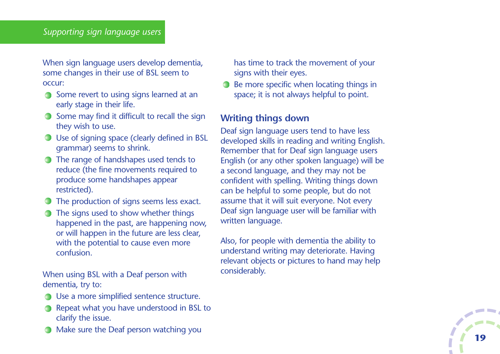#### *Supporting sign language users*

When sign language users develop dementia, some changes in their use of BSL seem to occur:

- Some revert to using signs learned at an early stage in their life.
- $\bigcirc$  Some may find it difficult to recall the sign they wish to use.
- Use of signing space (clearly defined in BSL grammar) seems to shrink.
- **The range of handshapes used tends to** reduce (the fine movements required to produce some handshapes appear restricted).
- The production of signs seems less exact.
- **◯** The signs used to show whether things happened in the past, are happening now, or will happen in the future are less clear, with the potential to cause even more confusion.

When using BSL with a Deaf person with dementia, try to:

- **◯** Use a more simplified sentence structure.
- Repeat what you have understood in BSL to clarify the issue.
- Make sure the Deaf person watching you
- has time to track the movement of your signs with their eyes.
- **Be more specific when locating things in** space; it is not always helpful to point.

# **Writing things down**

Deaf sign language users tend to have less developed skills in reading and writing English. Remember that for Deaf sign language users English (or any other spoken language) will be a second language, and they may not be confident with spelling. Writing things down can be helpful to some people, but do not assume that it will suit everyone. Not every Deaf sign language user will be familiar with written language.

Also, for people with dementia the ability to understand writing may deteriorate. Having relevant objects or pictures to hand may help considerably.

**19**

 $\overline{\phantom{a}}$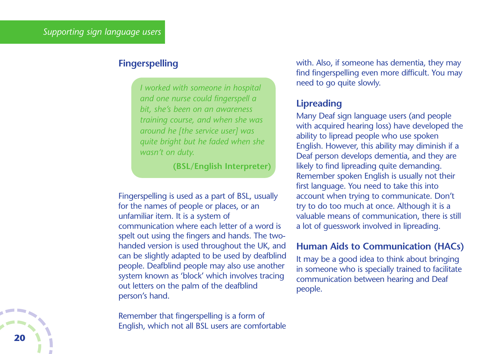### **Fingerspelling**

*I worked with someone in hospital and one nurse could fingerspell a bit, she's been on an awareness training course, and when she was around he [the service user] was quite bright but he faded when she wasn't on duty.* 

**(BSL/English Interpreter)**

Fingerspelling is used as a part of BSL, usually for the names of people or places, or an unfamiliar item. It is a system of communication where each letter of a word is spelt out using the fingers and hands. The twohanded version is used throughout the UK, and can be slightly adapted to be used by deafblind people. Deafblind people may also use another system known as 'block' which involves tracing out letters on the palm of the deafblind person's hand.

Remember that fingerspelling is a form of English, which not all BSL users are comfortable with. Also, if someone has dementia, they may find fingerspelling even more difficult. You may need to go quite slowly.

# **Lipreading**

Many Deaf sign language users (and people with acquired hearing loss) have developed the ability to lipread people who use spoken English. However, this ability may diminish if a Deaf person develops dementia, and they are likely to find lipreading quite demanding. Remember spoken English is usually not their first language. You need to take this into account when trying to communicate. Don't try to do too much at once. Although it is a valuable means of communication, there is still a lot of guesswork involved in lipreading.

### **Human Aids to Communication (HACs)**

It may be a good idea to think about bringing in someone who is specially trained to facilitate communication between hearing and Deaf people.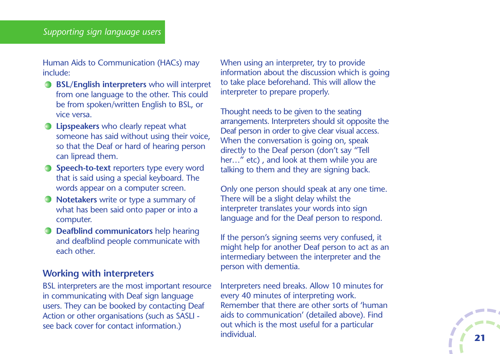Human Aids to Communication (HACs) may include:

- **BSL/English interpreters** who will interpret from one language to the other. This could be from spoken/written English to BSL, or vice versa.
- **Lipspeakers** who clearly repeat what someone has said without using their voice, so that the Deaf or hard of hearing person can lipread them.
- **Speech-to-text** reporters type every word that is said using a special keyboard. The words appear on a computer screen.
- **Notetakers** write or type a summary of what has been said onto paper or into a computer.
- **Deafblind communicators** help hearing and deafblind people communicate with each other.

# **Working with interpreters**

BSL interpreters are the most important resource in communicating with Deaf sign language users. They can be booked by contacting Deaf Action or other organisations (such as SASLI see back cover for contact information.)

When using an interpreter, try to provide information about the discussion which is going to take place beforehand. This will allow the interpreter to prepare properly.

Thought needs to be given to the seating arrangements. Interpreters should sit opposite the Deaf person in order to give clear visual access. When the conversation is going on, speak directly to the Deaf person (don't say "Tell her..." etc), and look at them while you are talking to them and they are signing back.

Only one person should speak at any one time. There will be a slight delay whilst the interpreter translates your words into sign language and for the Deaf person to respond.

If the person's signing seems very confused, it might help for another Deaf person to act as an intermediary between the interpreter and the person with dementia.

Interpreters need breaks. Allow 10 minutes for every 40 minutes of interpreting work. Remember that there are other sorts of 'human aids to communication' (detailed above). Find out which is the most useful for a particular individual. **21**

 $\mathcal{L}_{\mathcal{A}}$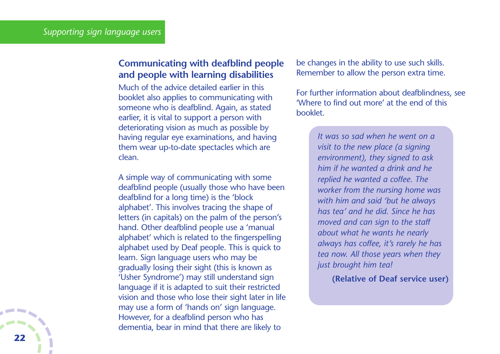# **Communicating with deafblind people and people with learning disabilities**

Much of the advice detailed earlier in this booklet also applies to communicating with someone who is deafblind. Again, as stated earlier, it is vital to support a person with deteriorating vision as much as possible by having regular eye examinations, and having them wear up-to-date spectacles which are clean.

A simple way of communicating with some deafblind people (usually those who have been deafblind for a long time) is the 'block alphabet'. This involves tracing the shape of letters (in capitals) on the palm of the person's hand. Other deafblind people use a 'manual alphabet' which is related to the fingerspelling alphabet used by Deaf people. This is quick to learn. Sign language users who may be gradually losing their sight (this is known as 'Usher Syndrome') may still understand sign language if it is adapted to suit their restricted vision and those who lose their sight later in life may use a form of 'hands on' sign language. However, for a deafblind person who has dementia, bear in mind that there are likely to

be changes in the ability to use such skills. Remember to allow the person extra time.

For further information about deafblindness, see 'Where to find out more' at the end of this booklet.

> *It was so sad when he went on a visit to the new place (a signing environment), they signed to ask him if he wanted a drink and he replied he wanted a coffee. The worker from the nursing home was with him and said 'but he always has tea' and he did. Since he has moved and can sign to the staff about what he wants he nearly always has coffee, it's rarely he has tea now. All those years when they just brought him tea!*

> > **(Relative of Deaf service user)**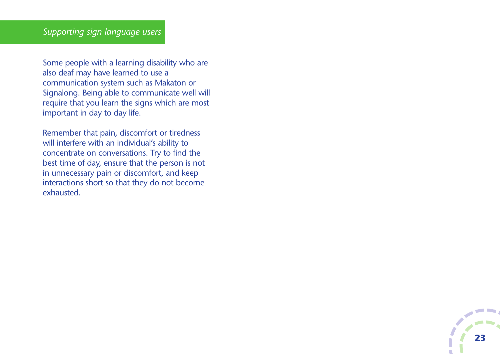Some people with a learning disability who are also deaf may have learned to use a communication system such as Makaton or Signalong. Being able to communicate well will require that you learn the signs which are most important in day to day life.

Remember that pain, discomfort or tiredness will interfere with an individual's ability to concentrate on conversations. Try to find the best time of day, ensure that the person is not in unnecessary pain or discomfort, and keep interactions short so that they do not become exhausted.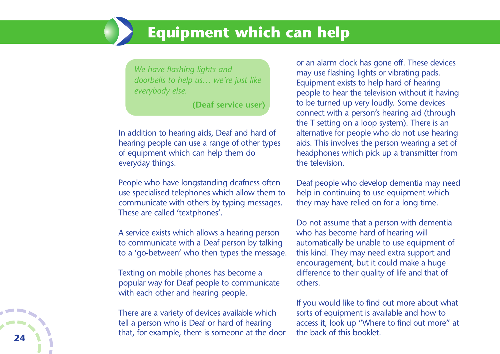# **Equipment which can help**

*We have flashing lights and doorbells to help us… we're just like everybody else.*

**(Deaf service user)**

In addition to hearing aids, Deaf and hard of hearing people can use a range of other types of equipment which can help them do everyday things.

People who have longstanding deafness often use specialised telephones which allow them to communicate with others by typing messages. These are called 'textphones'.

A service exists which allows a hearing person to communicate with a Deaf person by talking to a 'go-between' who then types the message.

Texting on mobile phones has become a popular way for Deaf people to communicate with each other and hearing people.

There are a variety of devices available which tell a person who is Deaf or hard of hearing that, for example, there is someone at the door or an alarm clock has gone off. These devices may use flashing lights or vibrating pads. Equipment exists to help hard of hearing people to hear the television without it having to be turned up very loudly. Some devices connect with a person's hearing aid (through the T setting on a loop system). There is an alternative for people who do not use hearing aids. This involves the person wearing a set of headphones which pick up a transmitter from the television.

Deaf people who develop dementia may need help in continuing to use equipment which they may have relied on for a long time.

Do not assume that a person with dementia who has become hard of hearing will automatically be unable to use equipment of this kind. They may need extra support and encouragement, but it could make a huge difference to their quality of life and that of others.

If you would like to find out more about what sorts of equipment is available and how to access it, look up "Where to find out more" at the back of this booklet.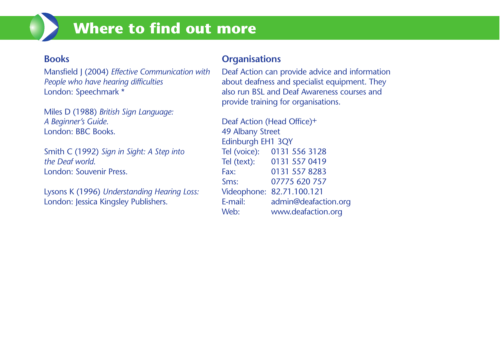# **Where to find out more**

# **Books**

Mansfield J (2004) *Effective Communication with People who have hearing difficulties* London: Speechmark \*

Miles D (1988) *British Sign Language: A Beginner's Guide*. London: BBC Books.

Smith C (1992) *Sign in Sight: A Step into the Deaf world*. London: Souvenir Press.

Lysons K (1996) *Understanding Hearing Loss:* London: Jessica Kingsley Publishers.

# **Organisations**

Deaf Action can provide advice and information about deafness and specialist equipment. They also run BSL and Deaf Awareness courses and provide training for organisations.

Deaf Action (Head Office)+ 49 Albany Street Edinburgh EH1 3QY Tel (voice): 0131 556 3128 Tel (text): 0131 557 0419 Fax: 0131 557 8283 Sms: 07775 620 757 Videophone: 82.71.100.121 E-mail: admin@deafaction.org Web: www.deafaction.org